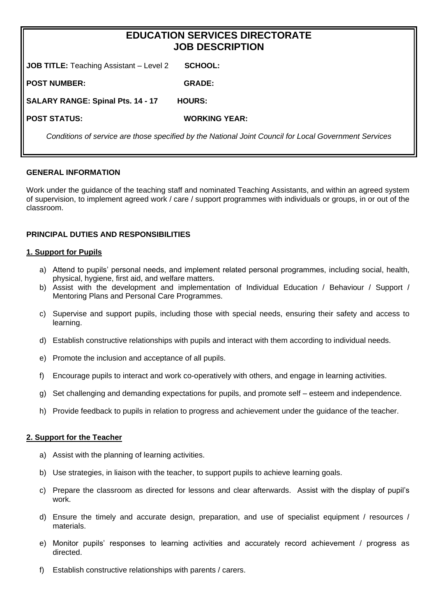# **EDUCATION SERVICES DIRECTORATE JOB DESCRIPTION**

**JOB TITLE:** Teaching Assistant – Level 2 **SCHOOL:** 

**POST NUMBER: GRADE:** 

**SALARY RANGE: Spinal Pts. 14 - 17 HOURS:**

**POST STATUS: WORKING YEAR:** 

*Conditions of service are those specified by the National Joint Council for Local Government Services*

### **GENERAL INFORMATION**

Work under the guidance of the teaching staff and nominated Teaching Assistants, and within an agreed system of supervision, to implement agreed work / care / support programmes with individuals or groups, in or out of the classroom.

## **PRINCIPAL DUTIES AND RESPONSIBILITIES**

### **1. Support for Pupils**

- a) Attend to pupils' personal needs, and implement related personal programmes, including social, health, physical, hygiene, first aid, and welfare matters.
- b) Assist with the development and implementation of Individual Education / Behaviour / Support / Mentoring Plans and Personal Care Programmes.
- c) Supervise and support pupils, including those with special needs, ensuring their safety and access to learning.
- d) Establish constructive relationships with pupils and interact with them according to individual needs.
- e) Promote the inclusion and acceptance of all pupils.
- f) Encourage pupils to interact and work co-operatively with others, and engage in learning activities.
- g) Set challenging and demanding expectations for pupils, and promote self esteem and independence.
- h) Provide feedback to pupils in relation to progress and achievement under the guidance of the teacher.

### **2. Support for the Teacher**

- a) Assist with the planning of learning activities.
- b) Use strategies, in liaison with the teacher, to support pupils to achieve learning goals.
- c) Prepare the classroom as directed for lessons and clear afterwards. Assist with the display of pupil's work.
- d) Ensure the timely and accurate design, preparation, and use of specialist equipment / resources / materials.
- e) Monitor pupils' responses to learning activities and accurately record achievement / progress as directed.
- f) Establish constructive relationships with parents / carers.